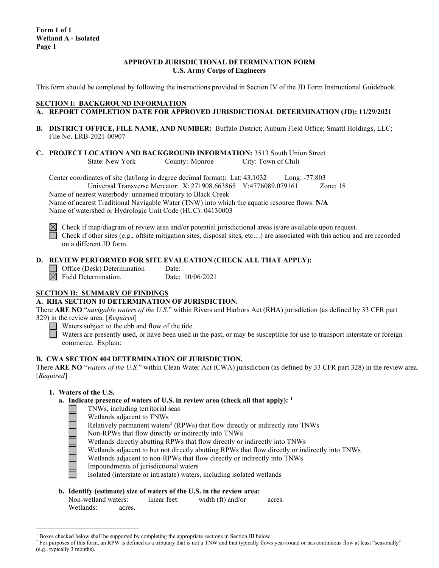### **APPROVED JURISDICTIONAL DETERMINATION FORM U.S. Army Corps of Engineers**

This form should be completed by following the instructions provided in Section IV of the JD Form Instructional Guidebook.

## **SECTION I: BACKGROUND INFORMATION**

- **A. REPORT COMPLETION DATE FOR APPROVED JURISDICTIONAL DETERMINATION (JD): 11/29/2021**
- **B. DISTRICT OFFICE, FILE NAME, AND NUMBER:** Buffalo District; Auburn Field Office; Smattl Holdings, LLC; File No. LRB-2021-00907
- **C. PROJECT LOCATION AND BACKGROUND INFORMATION:** 3513 South Union Street<br>State: New York County: Monroe City: Town of Chili City: Town of Chili

Center coordinates of site (lat/long in degree decimal format): Lat: 43.1032 Long: -77.803 Universal Transverse Mercator: X: 271908.663865 Y:4776089.079161 Zone: 18

Name of nearest waterbody: unnamed tributary to Black Creek

Name of nearest Traditional Navigable Water (TNW) into which the aquatic resource flows: **N/A** Name of watershed or Hydrologic Unit Code (HUC): 04130003



 $\boxtimes$  Check if map/diagram of review area and/or potential jurisdictional areas is/are available upon request. Check if other sites (e.g., offsite mitigation sites, disposal sites, etc...) are associated with this action and are recorded on a different JD form.

# **D. REVIEW PERFORMED FOR SITE EVALUATION (CHECK ALL THAT APPLY):**

Office (Desk) Determination Date:

 $\overline{\boxtimes}$  Field Determination. Date: 10/06/2021

# **SECTION II: SUMMARY OF FINDINGS**

### **A. RHA SECTION 10 DETERMINATION OF JURISDICTION.**

There **ARE NO** "*navigable waters of the U.S.*" within Rivers and Harbors Act (RHA) jurisdiction (as defined by 33 CFR part 329) in the review area. [*Required*]

 $\Box$  Waters subject to the ebb and flow of the tide.

Waters are presently used, or have been used in the past, or may be susceptible for use to transport interstate or foreign commerce. Explain:

### **B. CWA SECTION 404 DETERMINATION OF JURISDICTION.**

There **ARE NO** "*waters of the U.S.*" within Clean Water Act (CWA) jurisdiction (as defined by 33 CFR part 328) in the review area. [*Required*]

### **1. Waters of the U.S.**

- **a. Indicate presence of waters of U.S. in review area (check all that apply): [1](#page-0-0)**
	- TNWs, including territorial seas
		- Wetlands adjacent to TNWs
		- Relatively permanent waters<sup>[2](#page-0-1)</sup> (RPWs) that flow directly or indirectly into TNWs
	- Non-RPWs that flow directly or indirectly into TNWs
	- Wetlands directly abutting RPWs that flow directly or indirectly into TNWs
	- Wetlands adjacent to but not directly abutting RPWs that flow directly or indirectly into TNWs
	- Wetlands adjacent to non-RPWs that flow directly or indirectly into TNWs
	- Impoundments of jurisdictional waters
	- Isolated (interstate or intrastate) waters, including isolated wetlands

### **b. Identify (estimate) size of waters of the U.S. in the review area:**

| Non-wetland waters: |        | linear feet: | width (ft) and/or | acres. |
|---------------------|--------|--------------|-------------------|--------|
| Wetlands:           | acres. |              |                   |        |

 $1$  Boxes checked below shall be supported by completing the appropriate sections in Section III below.

<span id="page-0-1"></span><span id="page-0-0"></span><sup>&</sup>lt;sup>2</sup> For purposes of this form, an RPW is defined as a tributary that is not a TNW and that typically flows year-round or has continuous flow at least "seasonally" (e.g., typically 3 months).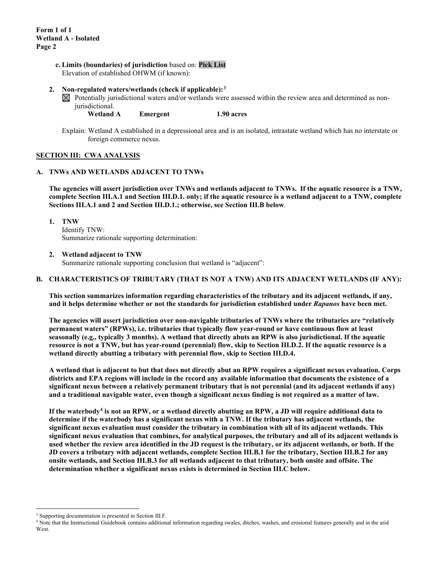#### **c. Limits (boundaries) of jurisdiction** based on: **Pick List** Elevation of established OHWM (if known):

#### **2. Non-regulated waters/wetlands (check if applicable):[3](#page-1-0)**

- $\boxtimes$  Potentially jurisdictional waters and/or wetlands were assessed within the review area and determined as nonjurisdictional.
	- **Wetland A Emergent 1.90 acres**
- Explain: Wetland A established in a depressional area and is an isolated, intrastate wetland which has no interstate or foreign commerce nexus.

#### **SECTION III: CWA ANALYSIS**

#### **A. TNWs AND WETLANDS ADJACENT TO TNWs**

**The agencies will assert jurisdiction over TNWs and wetlands adjacent to TNWs. If the aquatic resource is a TNW, complete Section III.A.1 and Section III.D.1. only; if the aquatic resource is a wetland adjacent to a TNW, complete Sections III.A.1 and 2 and Section III.D.1.; otherwise, see Section III.B below**.

**1. TNW** 

Identify TNW: Summarize rationale supporting determination:

**2. Wetland adjacent to TNW** 

Summarize rationale supporting conclusion that wetland is "adjacent":

#### **B. CHARACTERISTICS OF TRIBUTARY (THAT IS NOT A TNW) AND ITS ADJACENT WETLANDS (IF ANY):**

**This section summarizes information regarding characteristics of the tributary and its adjacent wetlands, if any, and it helps determine whether or not the standards for jurisdiction established under** *Rapanos* **have been met.** 

**The agencies will assert jurisdiction over non-navigable tributaries of TNWs where the tributaries are "relatively permanent waters" (RPWs), i.e. tributaries that typically flow year-round or have continuous flow at least seasonally (e.g., typically 3 months). A wetland that directly abuts an RPW is also jurisdictional. If the aquatic resource is not a TNW, but has year-round (perennial) flow, skip to Section III.D.2. If the aquatic resource is a wetland directly abutting a tributary with perennial flow, skip to Section III.D.4.** 

**A wetland that is adjacent to but that does not directly abut an RPW requires a significant nexus evaluation. Corps districts and EPA regions will include in the record any available information that documents the existence of a significant nexus between a relatively permanent tributary that is not perennial (and its adjacent wetlands if any) and a traditional navigable water, even though a significant nexus finding is not required as a matter of law.**

**If the waterbody[4](#page-1-1) is not an RPW, or a wetland directly abutting an RPW, a JD will require additional data to determine if the waterbody has a significant nexus with a TNW. If the tributary has adjacent wetlands, the significant nexus evaluation must consider the tributary in combination with all of its adjacent wetlands. This significant nexus evaluation that combines, for analytical purposes, the tributary and all of its adjacent wetlands is used whether the review area identified in the JD request is the tributary, or its adjacent wetlands, or both. If the JD covers a tributary with adjacent wetlands, complete Section III.B.1 for the tributary, Section III.B.2 for any onsite wetlands, and Section III.B.3 for all wetlands adjacent to that tributary, both onsite and offsite. The determination whether a significant nexus exists is determined in Section III.C below.**

<span id="page-1-0"></span><sup>3</sup> Supporting documentation is presented in Section III.F.

<span id="page-1-1"></span><sup>4</sup> Note that the Instructional Guidebook contains additional information regarding swales, ditches, washes, and erosional features generally and in the arid **West**.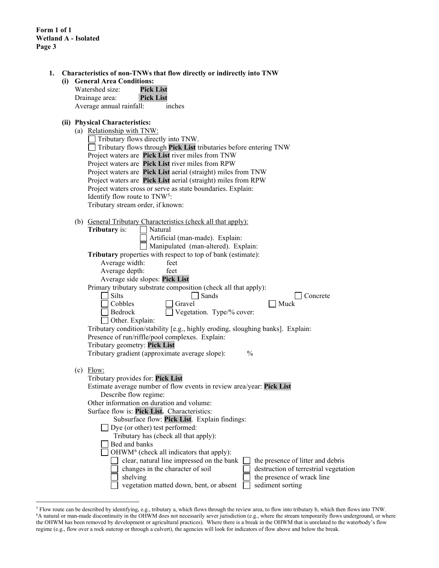**Form 1 of 1 Wetland A - Isolated Page 3**

| (i) | Characteristics of non-TNWs that flow directly or indirectly into TNW<br><b>General Area Conditions:</b> |
|-----|----------------------------------------------------------------------------------------------------------|
|     | Watershed size:<br><b>Pick List</b>                                                                      |
|     | Drainage area:<br><b>Pick List</b>                                                                       |
|     | Average annual rainfall:<br>inches                                                                       |
|     | (ii) Physical Characteristics:                                                                           |
|     | (a) Relationship with TNW:                                                                               |
|     | Tributary flows directly into TNW.                                                                       |
|     | Tributary flows through Pick List tributaries before entering TNW                                        |
|     | Project waters are Pick List river miles from TNW                                                        |
|     | Project waters are Pick List river miles from RPW                                                        |
|     | Project waters are Pick List aerial (straight) miles from TNW                                            |
|     | Project waters are Pick List aerial (straight) miles from RPW                                            |
|     | Project waters cross or serve as state boundaries. Explain:                                              |
|     | Identify flow route to TNW <sup>5</sup> :                                                                |
|     | Tributary stream order, if known:                                                                        |
|     | (b) General Tributary Characteristics (check all that apply):                                            |
|     | Tributary is:<br>Natural                                                                                 |
|     | Artificial (man-made). Explain:                                                                          |
|     | Manipulated (man-altered). Explain:                                                                      |
|     | Tributary properties with respect to top of bank (estimate):                                             |
|     | Average width:<br>feet                                                                                   |
|     | Average depth:<br>feet                                                                                   |
|     | Average side slopes: Pick List                                                                           |
|     | Primary tributary substrate composition (check all that apply):                                          |
|     | <b>Silts</b><br>Sands<br>Concrete                                                                        |
|     | Cobbles<br>Gravel<br>Muck                                                                                |
|     | Vegetation. Type/% cover:<br>Bedrock                                                                     |
|     | Other. Explain:                                                                                          |
|     | Tributary condition/stability [e.g., highly eroding, sloughing banks]. Explain:                          |
|     | Presence of run/riffle/pool complexes. Explain:                                                          |
|     | Tributary geometry: Pick List<br>Tributary gradient (approximate average slope):<br>$\frac{0}{0}$        |
|     |                                                                                                          |
|     | $(c)$ Flow:                                                                                              |
|     | Tributary provides for: Pick List                                                                        |
|     | Estimate average number of flow events in review area/year: Pick List                                    |
|     | Describe flow regime:                                                                                    |
|     | Other information on duration and volume:                                                                |
|     | Surface flow is: Pick List. Characteristics:                                                             |
|     | Subsurface flow: Pick List. Explain findings:                                                            |
|     | Dye (or other) test performed:                                                                           |
|     | Tributary has (check all that apply):<br>Bed and banks                                                   |
|     | OHWM <sup>6</sup> (check all indicators that apply):                                                     |
|     | clear, natural line impressed on the bank<br>the presence of litter and debris                           |
|     | changes in the character of soil<br>destruction of terrestrial vegetation                                |
|     | shelving<br>the presence of wrack line                                                                   |
|     | vegetation matted down, bent, or absent<br>sediment sorting                                              |

<span id="page-2-1"></span><span id="page-2-0"></span><sup>&</sup>lt;sup>5</sup> Flow route can be described by identifying, e.g., tributary a, which flows through the review area, to flow into tributary b, which then flows into TNW.<br><sup>6</sup>A natural or man-made discontinuity in the OHWM does not nece the OHWM has been removed by development or agricultural practices). Where there is a break in the OHWM that is unrelated to the waterbody's flow regime (e.g., flow over a rock outcrop or through a culvert), the agencies will look for indicators of flow above and below the break.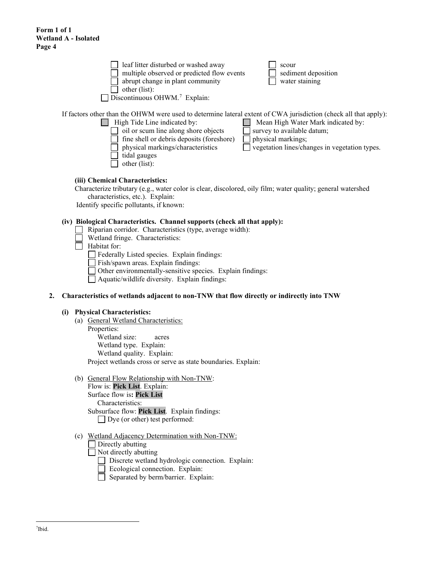|    | leaf litter disturbed or washed away<br>scour<br>multiple observed or predicted flow events<br>sediment deposition<br>abrupt change in plant community<br>water staining                                                                                                                                                                                                                                                                               |
|----|--------------------------------------------------------------------------------------------------------------------------------------------------------------------------------------------------------------------------------------------------------------------------------------------------------------------------------------------------------------------------------------------------------------------------------------------------------|
|    | other (list):<br>Discontinuous OHWM. <sup>7</sup> Explain:                                                                                                                                                                                                                                                                                                                                                                                             |
|    | If factors other than the OHWM were used to determine lateral extent of CWA jurisdiction (check all that apply):<br>High Tide Line indicated by:<br>Mean High Water Mark indicated by:<br>oil or scum line along shore objects<br>survey to available datum;<br>fine shell or debris deposits (foreshore)<br>physical markings;<br>physical markings/characteristics<br>vegetation lines/changes in vegetation types.<br>tidal gauges<br>other (list): |
|    | (iii) Chemical Characteristics:<br>Characterize tributary (e.g., water color is clear, discolored, oily film; water quality; general watershed<br>characteristics, etc.). Explain:<br>Identify specific pollutants, if known:                                                                                                                                                                                                                          |
|    | (iv) Biological Characteristics. Channel supports (check all that apply):<br>Riparian corridor. Characteristics (type, average width):<br>Wetland fringe. Characteristics:<br>Habitat for:                                                                                                                                                                                                                                                             |
|    | Federally Listed species. Explain findings:<br>Fish/spawn areas. Explain findings:<br>Other environmentally-sensitive species. Explain findings:                                                                                                                                                                                                                                                                                                       |
| 2. | Aquatic/wildlife diversity. Explain findings:<br>Characteristics of wetlands adjacent to non-TNW that flow directly or indirectly into TNW                                                                                                                                                                                                                                                                                                             |
|    |                                                                                                                                                                                                                                                                                                                                                                                                                                                        |
|    | <b>Physical Characteristics:</b><br>(i)<br>(a) General Wetland Characteristics:<br>Properties:<br>Wetland size:<br>acres<br>Wetland type. Explain:<br>Wetland quality. Explain:<br>Project wetlands cross or serve as state boundaries. Explain:                                                                                                                                                                                                       |
|    | (b) General Flow Relationship with Non-TNW.                                                                                                                                                                                                                                                                                                                                                                                                            |

- (b) General Flow Relationship with Non-TNW: Flow is: **Pick List**. Explain: Surface flow is**: Pick List**  Characteristics: Subsurface flow: **Pick List**. Explain findings: Dye (or other) test performed:
- <span id="page-3-0"></span>(c) Wetland Adjacency Determination with Non-TNW:
	- $\Box$  Directly abutting
	- $\Box$  Not directly abutting
		- Discrete wetland hydrologic connection. Explain:
		- Ecological connection. Explain:
		- $\overline{\Box}$  Separated by berm/barrier. Explain: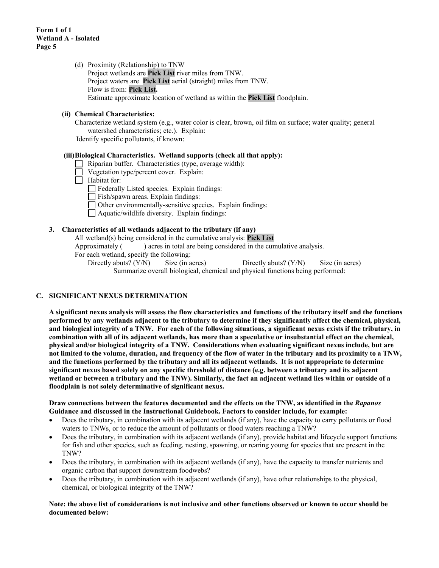(d) Proximity (Relationship) to TNW Project wetlands are **Pick List** river miles from TNW. Project waters are **Pick List** aerial (straight) miles from TNW. Flow is from: **Pick List.** Estimate approximate location of wetland as within the **Pick List** floodplain.

## **(ii) Chemical Characteristics:**

Characterize wetland system (e.g., water color is clear, brown, oil film on surface; water quality; general watershed characteristics; etc.). Explain:

Identify specific pollutants, if known:

#### **(iii)Biological Characteristics. Wetland supports (check all that apply):**

- Riparian buffer. Characteristics (type, average width):
- Vegetation type/percent cover. Explain:
- $\Box$  Habitat for:

Federally Listed species. Explain findings:

- Fish/spawn areas. Explain findings:
- Other environmentally-sensitive species. Explain findings:
- Aquatic/wildlife diversity. Explain findings:

#### **3. Characteristics of all wetlands adjacent to the tributary (if any)**

All wetland(s) being considered in the cumulative analysis: **Pick List**

Approximately ( ) acres in total are being considered in the cumulative analysis.

For each wetland, specify the following:

Directly abuts? (Y/N) Size (in acres) Directly abuts? (Y/N) Size (in acres) Summarize overall biological, chemical and physical functions being performed:

### **C. SIGNIFICANT NEXUS DETERMINATION**

**A significant nexus analysis will assess the flow characteristics and functions of the tributary itself and the functions performed by any wetlands adjacent to the tributary to determine if they significantly affect the chemical, physical, and biological integrity of a TNW. For each of the following situations, a significant nexus exists if the tributary, in combination with all of its adjacent wetlands, has more than a speculative or insubstantial effect on the chemical, physical and/or biological integrity of a TNW. Considerations when evaluating significant nexus include, but are not limited to the volume, duration, and frequency of the flow of water in the tributary and its proximity to a TNW, and the functions performed by the tributary and all its adjacent wetlands. It is not appropriate to determine significant nexus based solely on any specific threshold of distance (e.g. between a tributary and its adjacent wetland or between a tributary and the TNW). Similarly, the fact an adjacent wetland lies within or outside of a floodplain is not solely determinative of significant nexus.** 

#### **Draw connections between the features documented and the effects on the TNW, as identified in the** *Rapanos* **Guidance and discussed in the Instructional Guidebook. Factors to consider include, for example:**

- Does the tributary, in combination with its adjacent wetlands (if any), have the capacity to carry pollutants or flood waters to TNWs, or to reduce the amount of pollutants or flood waters reaching a TNW?
- Does the tributary, in combination with its adjacent wetlands (if any), provide habitat and lifecycle support functions for fish and other species, such as feeding, nesting, spawning, or rearing young for species that are present in the TNW?
- Does the tributary, in combination with its adjacent wetlands (if any), have the capacity to transfer nutrients and organic carbon that support downstream foodwebs?
- Does the tributary, in combination with its adjacent wetlands (if any), have other relationships to the physical, chemical, or biological integrity of the TNW?

#### **Note: the above list of considerations is not inclusive and other functions observed or known to occur should be documented below:**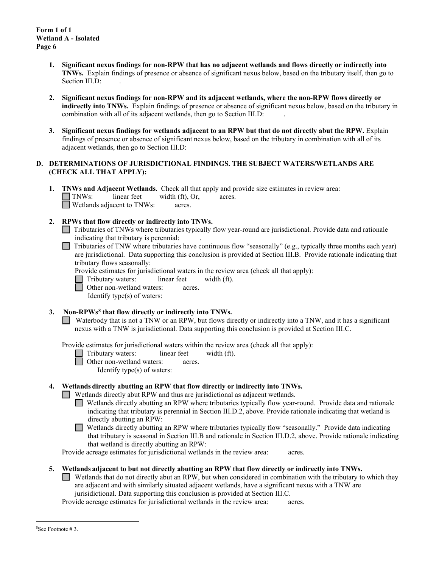- **1. Significant nexus findings for non-RPW that has no adjacent wetlands and flows directly or indirectly into TNWs.** Explain findings of presence or absence of significant nexus below, based on the tributary itself, then go to Section III.D:
- **2. Significant nexus findings for non-RPW and its adjacent wetlands, where the non-RPW flows directly or indirectly into TNWs.** Explain findings of presence or absence of significant nexus below, based on the tributary in combination with all of its adjacent wetlands, then go to Section III.D: .
- **3. Significant nexus findings for wetlands adjacent to an RPW but that do not directly abut the RPW.** Explain findings of presence or absence of significant nexus below, based on the tributary in combination with all of its adjacent wetlands, then go to Section III.D:

## **D. DETERMINATIONS OF JURISDICTIONAL FINDINGS. THE SUBJECT WATERS/WETLANDS ARE (CHECK ALL THAT APPLY):**

**1. TNWs and Adjacent Wetlands.** Check all that apply and provide size estimates in review area:<br>
TNWs: linear feet width (ft), Or, acres.  $linear feet \t width (ft), Or, \t acres.$ Wetlands adjacent to TNWs: acres.

# **2. RPWs that flow directly or indirectly into TNWs.**

- Tributaries of TNWs where tributaries typically flow year-round are jurisdictional. Provide data and rationale indicating that tributary is perennial: .
- $\Box$  Tributaries of TNW where tributaries have continuous flow "seasonally" (e.g., typically three months each year) are jurisdictional. Data supporting this conclusion is provided at Section III.B. Provide rationale indicating that tributary flows seasonally:
	- Provide estimates for jurisdictional waters in the review area (check all that apply):
	- Tributary waters: linear feet width (ft).
	- Other non-wetland waters: acres.

Identify type(s) of waters:

**3. Non-RPWs[8](#page-5-0) that flow directly or indirectly into TNWs.**

Waterbody that is not a TNW or an RPW, but flows directly or indirectly into a TNW, and it has a significant nexus with a TNW is jurisdictional. Data supporting this conclusion is provided at Section III.C.

Provide estimates for jurisdictional waters within the review area (check all that apply):

Tributary waters: linear feet width (ft).

Other non-wetland waters: acres.

Identify type(s) of waters:

### **4. Wetlands directly abutting an RPW that flow directly or indirectly into TNWs.**

Wetlands directly abut RPW and thus are jurisdictional as adjacent wetlands.

Wetlands directly abutting an RPW where tributaries typically flow year-round. Provide data and rationale indicating that tributary is perennial in Section III.D.2, above. Provide rationale indicating that wetland is directly abutting an RPW:

Wetlands directly abutting an RPW where tributaries typically flow "seasonally." Provide data indicating that tributary is seasonal in Section III.B and rationale in Section III.D.2, above. Provide rationale indicating that wetland is directly abutting an RPW:

Provide acreage estimates for jurisdictional wetlands in the review area: acres.

### **5. Wetlands adjacent to but not directly abutting an RPW that flow directly or indirectly into TNWs.**

Wetlands that do not directly abut an RPW, but when considered in combination with the tributary to which they are adjacent and with similarly situated adjacent wetlands, have a significant nexus with a TNW are jurisidictional. Data supporting this conclusion is provided at Section III.C.

Provide acreage estimates for jurisdictional wetlands in the review area: acres.

<span id="page-5-0"></span><sup>8</sup> See Footnote # 3.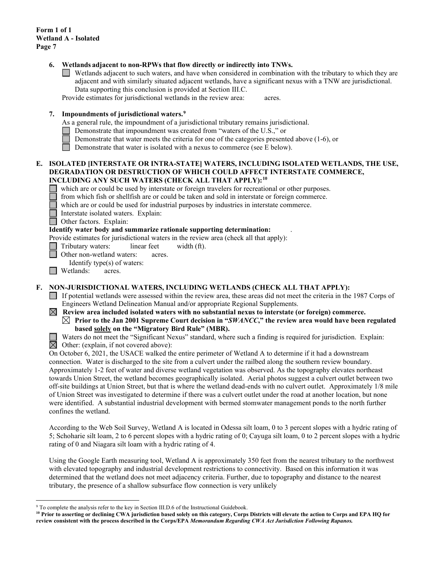**Form 1 of 1 Wetland A - Isolated Page 7**

#### **6. Wetlands adjacent to non-RPWs that flow directly or indirectly into TNWs.**

Wetlands adjacent to such waters, and have when considered in combination with the tributary to which they are adjacent and with similarly situated adjacent wetlands, have a significant nexus with a TNW are jurisdictional. Data supporting this conclusion is provided at Section III.C.

Provide estimates for jurisdictional wetlands in the review area: acres.

### **7. Impoundments of jurisdictional waters. [9](#page-6-0)**

As a general rule, the impoundment of a jurisdictional tributary remains jurisdictional.

- Demonstrate that impoundment was created from "waters of the U.S.," or
- Demonstrate that water meets the criteria for one of the categories presented above (1-6), or
- Demonstrate that water is isolated with a nexus to commerce (see E below).

#### **E. ISOLATED [INTERSTATE OR INTRA-STATE] WATERS, INCLUDING ISOLATED WETLANDS, THE USE, DEGRADATION OR DESTRUCTION OF WHICH COULD AFFECT INTERSTATE COMMERCE, INCLUDING ANY SUCH WATERS (CHECK ALL THAT APPLY):[10](#page-6-1)**

which are or could be used by interstate or foreign travelers for recreational or other purposes.

from which fish or shellfish are or could be taken and sold in interstate or foreign commerce.

which are or could be used for industrial purposes by industries in interstate commerce.

Interstate isolated waters.Explain:

**Other factors.** Explain:

#### **Identify water body and summarize rationale supporting determination:** .

Provide estimates for jurisdictional waters in the review area (check all that apply):

Tributary waters: linear feet width (ft).

Other non-wetland waters: acres.

Identify type(s) of waters:

**I** Wetlands: acres.

### **F. NON-JURISDICTIONAL WATERS, INCLUDING WETLANDS (CHECK ALL THAT APPLY):**

- If potential wetlands were assessed within the review area, these areas did not meet the criteria in the 1987 Corps of Engineers Wetland Delineation Manual and/or appropriate Regional Supplements.
- $\boxtimes$  Review area included isolated waters with no substantial nexus to interstate (or foreign) commerce.  $\boxtimes$  Prior to the Jan 2001 Supreme Court decision in "*SWANCC*," the review area would have been regulated **based solely on the "Migratory Bird Rule" (MBR).**

Waters do not meet the "Significant Nexus" standard, where such a finding is required for jurisdiction. Explain:  $\overline{\boxtimes}$  Other: (explain, if not covered above):

On October 6, 2021, the USACE walked the entire perimeter of Wetland A to determine if it had a downstream connection. Water is discharged to the site from a culvert under the railbed along the southern review boundary. Approximately 1-2 feet of water and diverse wetland vegetation was observed. As the topography elevates northeast towards Union Street, the wetland becomes geographically isolated. Aerial photos suggest a culvert outlet between two off-site buildings at Union Street, but that is where the wetland dead-ends with no culvert outlet. Approximately 1/8 mile of Union Street was investigated to determine if there was a culvert outlet under the road at another location, but none were identified. A substantial industrial development with bermed stomwater management ponds to the north further confines the wetland.

According to the Web Soil Survey, Wetland A is located in Odessa silt loam, 0 to 3 percent slopes with a hydric rating of 5; Schoharie silt loam, 2 to 6 percent slopes with a hydric rating of 0; Cayuga silt loam, 0 to 2 percent slopes with a hydric rating of 0 and Niagara silt loam with a hydric rating of 4.

Using the Google Earth measuring tool, Wetland A is approximately 350 feet from the nearest tributary to the northwest with elevated topography and industrial development restrictions to connectivity. Based on this information it was determined that the wetland does not meet adjacency criteria. Further, due to topography and distance to the nearest tributary, the presence of a shallow subsurface flow connection is very unlikely

<span id="page-6-0"></span><sup>&</sup>lt;sup>9</sup> To complete the analysis refer to the key in Section III.D.6 of the Instructional Guidebook.

<span id="page-6-1"></span>**<sup>10</sup> Prior to asserting or declining CWA jurisdiction based solely on this category, Corps Districts will elevate the action to Corps and EPA HQ for review consistent with the process described in the Corps/EPA** *Memorandum Regarding CWA Act Jurisdiction Following Rapanos.*